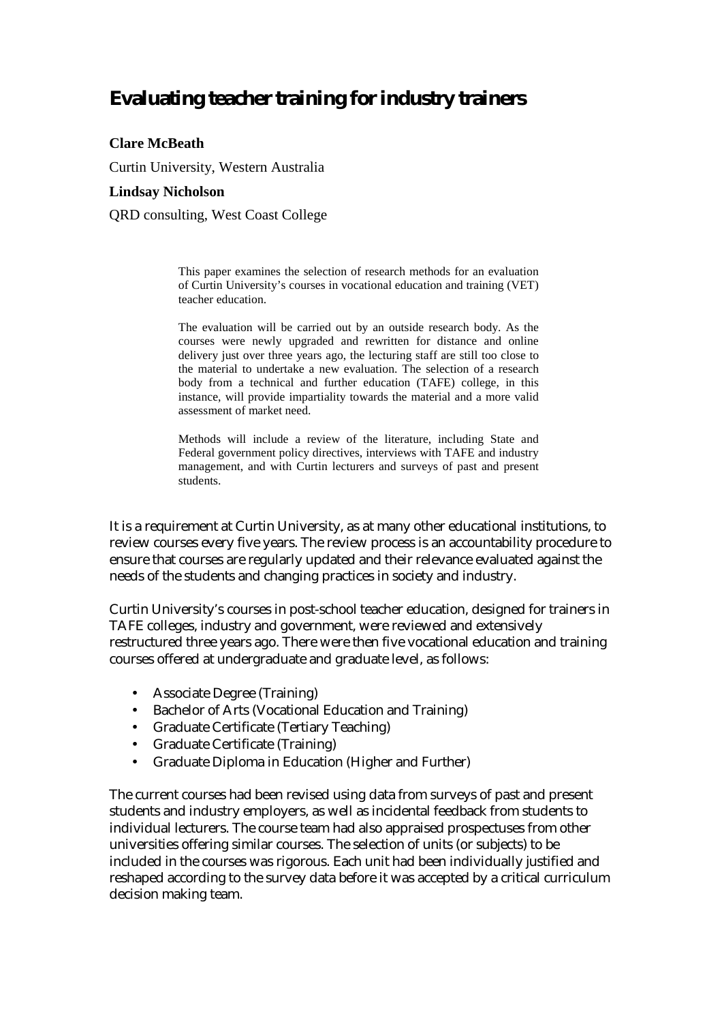# **Evaluating teacher training for industry trainers**

#### **Clare McBeath**

Curtin University, Western Australia

#### **Lindsay Nicholson**

QRD consulting, West Coast College

This paper examines the selection of research methods for an evaluation of Curtin University's courses in vocational education and training (VET) teacher education.

The evaluation will be carried out by an outside research body. As the courses were newly upgraded and rewritten for distance and online delivery just over three years ago, the lecturing staff are still too close to the material to undertake a new evaluation. The selection of a research body from a technical and further education (TAFE) college, in this instance, will provide impartiality towards the material and a more valid assessment of market need.

Methods will include a review of the literature, including State and Federal government policy directives, interviews with TAFE and industry management, and with Curtin lecturers and surveys of past and present students.

It is a requirement at Curtin University, as at many other educational institutions, to review courses every five years. The review process is an accountability procedure to ensure that courses are regularly updated and their relevance evaluated against the needs of the students and changing practices in society and industry.

Curtin University's courses in post-school teacher education, designed for trainers in TAFE colleges, industry and government, were reviewed and extensively restructured three years ago. There were then five vocational education and training courses offered at undergraduate and graduate level, as follows:

- Associate Degree (Training)
- Bachelor of Arts (Vocational Education and Training)
- Graduate Certificate (Tertiary Teaching)
- Graduate Certificate (Training)
- Graduate Diploma in Education (Higher and Further)

The current courses had been revised using data from surveys of past and present students and industry employers, as well as incidental feedback from students to individual lecturers. The course team had also appraised prospectuses from other universities offering similar courses. The selection of units (or subjects) to be included in the courses was rigorous. Each unit had been individually justified and reshaped according to the survey data before it was accepted by a critical curriculum decision making team.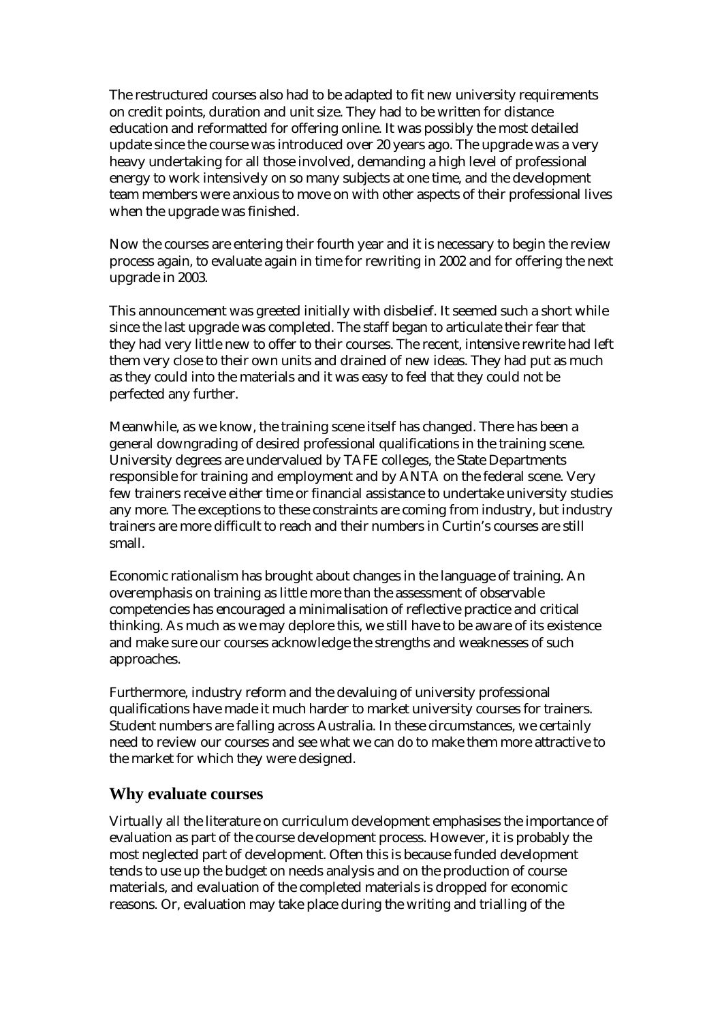The restructured courses also had to be adapted to fit new university requirements on credit points, duration and unit size. They had to be written for distance education and reformatted for offering online. It was possibly the most detailed update since the course was introduced over 20 years ago. The upgrade was a very heavy undertaking for all those involved, demanding a high level of professional energy to work intensively on so many subjects at one time, and the development team members were anxious to move on with other aspects of their professional lives when the upgrade was finished.

Now the courses are entering their fourth year and it is necessary to begin the review process again, to evaluate again in time for rewriting in 2002 and for offering the next upgrade in 2003.

This announcement was greeted initially with disbelief. It seemed such a short while since the last upgrade was completed. The staff began to articulate their fear that they had very little new to offer to their courses. The recent, intensive rewrite had left them very close to their own units and drained of new ideas. They had put as much as they could into the materials and it was easy to feel that they could not be perfected any further.

Meanwhile, as we know, the training scene itself has changed. There has been a general downgrading of desired professional qualifications in the training scene. University degrees are undervalued by TAFE colleges, the State Departments responsible for training and employment and by ANTA on the federal scene. Very few trainers receive either time or financial assistance to undertake university studies any more. The exceptions to these constraints are coming from industry, but industry trainers are more difficult to reach and their numbers in Curtin's courses are still small.

Economic rationalism has brought about changes in the language of training. An overemphasis on training as little more than the assessment of observable competencies has encouraged a minimalisation of reflective practice and critical thinking. As much as we may deplore this, we still have to be aware of its existence and make sure our courses acknowledge the strengths and weaknesses of such approaches.

Furthermore, industry reform and the devaluing of university professional qualifications have made it much harder to market university courses for trainers. Student numbers are falling across Australia. In these circumstances, we certainly need to review our courses and see what we can do to make them more attractive to the market for which they were designed.

#### **Why evaluate courses**

Virtually all the literature on curriculum development emphasises the importance of evaluation as part of the course development process. However, it is probably the most neglected part of development. Often this is because funded development tends to use up the budget on needs analysis and on the production of course materials, and evaluation of the completed materials is dropped for economic reasons. Or, evaluation may take place during the writing and trialling of the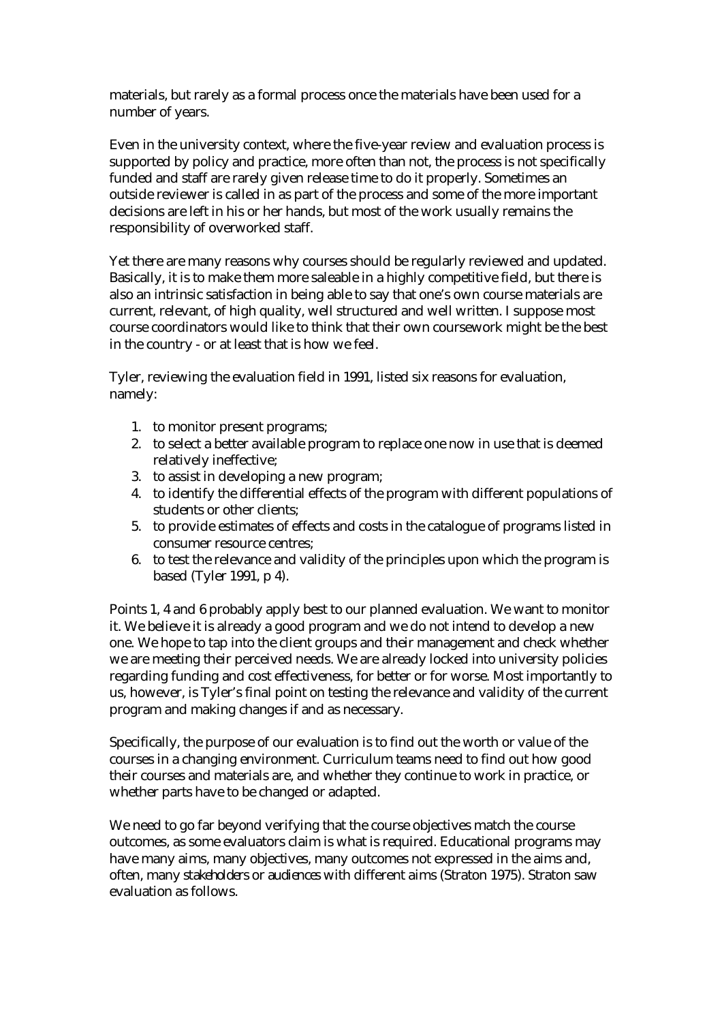materials, but rarely as a formal process once the materials have been used for a number of years.

Even in the university context, where the five-year review and evaluation process is supported by policy and practice, more often than not, the process is not specifically funded and staff are rarely given release time to do it properly. Sometimes an outside reviewer is called in as part of the process and some of the more important decisions are left in his or her hands, but most of the work usually remains the responsibility of overworked staff.

Yet there are many reasons why courses should be regularly reviewed and updated. Basically, it is to make them more saleable in a highly competitive field, but there is also an intrinsic satisfaction in being able to say that one's own course materials are current, relevant, of high quality, well structured and well written. I suppose most course coordinators would like to think that their own coursework might be the best in the country - or at least that is how we feel.

Tyler, reviewing the evaluation field in 1991, listed six reasons for evaluation, namely:

- 1. to monitor present programs;
- 2. to select a better available program to replace one now in use that is deemed relatively ineffective;
- 3. to assist in developing a new program;
- 4. to identify the differential effects of the program with different populations of students or other clients;
- 5. to provide estimates of effects and costs in the catalogue of programs listed in consumer resource centres;
- 6. to test the relevance and validity of the principles upon which the program is based (Tyler 1991, p 4).

Points 1, 4 and 6 probably apply best to our planned evaluation. We want to monitor it. We believe it is already a good program and we do not intend to develop a new one. We hope to tap into the client groups and their management and check whether we are meeting their perceived needs. We are already locked into university policies regarding funding and cost effectiveness, for better or for worse. Most importantly to us, however, is Tyler's final point on testing the relevance and validity of the current program and making changes if and as necessary.

Specifically, the purpose of our evaluation is to find out the worth or value of the courses in a changing environment. Curriculum teams need to find out how good their courses and materials are, and whether they continue to work in practice, or whether parts have to be changed or adapted.

We need to go far beyond verifying that the course objectives match the course outcomes, as some evaluators claim is what is required. Educational programs may have many aims, many objectives, many outcomes not expressed in the aims and, often, many *stakeholders* or *audiences* with different aims (Straton 1975). Straton saw evaluation as follows.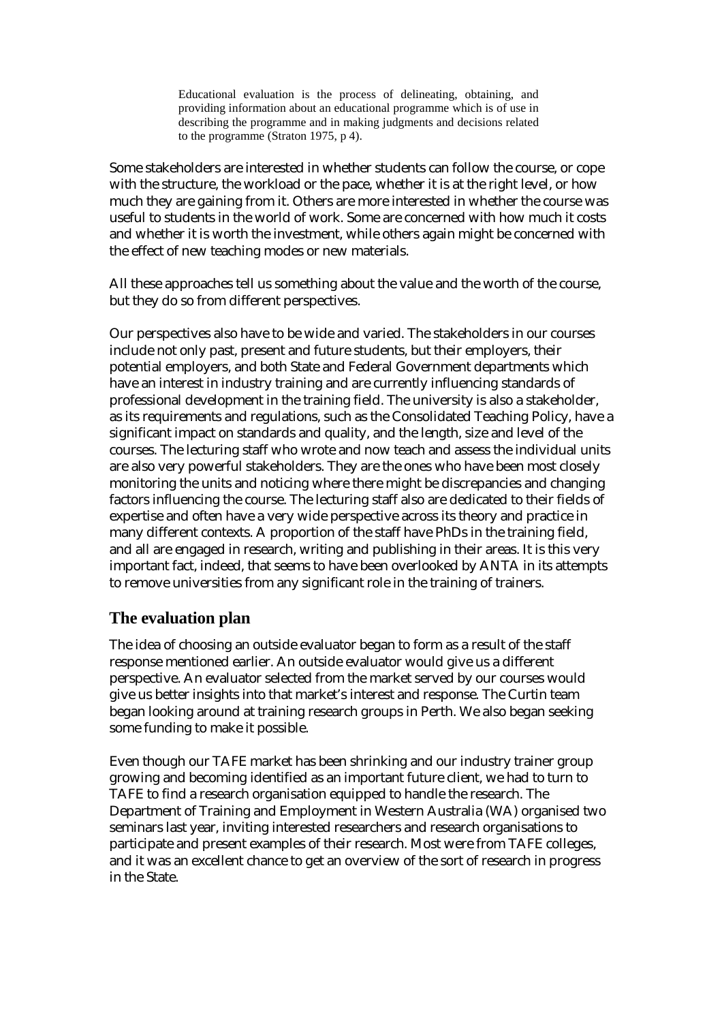Educational evaluation is the process of delineating, obtaining, and providing information about an educational programme which is of use in describing the programme and in making judgments and decisions related to the programme (Straton 1975, p 4).

Some stakeholders are interested in whether students can follow the course, or cope with the structure, the workload or the pace, whether it is at the right level, or how much they are gaining from it. Others are more interested in whether the course was useful to students in the world of work. Some are concerned with how much it costs and whether it is worth the investment, while others again might be concerned with the effect of new teaching modes or new materials.

All these approaches tell us something about the value and the worth of the course, but they do so from different perspectives.

Our perspectives also have to be wide and varied. The stakeholders in our courses include not only past, present and future students, but their employers, their potential employers, and both State and Federal Government departments which have an interest in industry training and are currently influencing standards of professional development in the training field. The university is also a stakeholder, as its requirements and regulations, such as the Consolidated Teaching Policy, have a significant impact on standards and quality, and the length, size and level of the courses. The lecturing staff who wrote and now teach and assess the individual units are also very powerful stakeholders. They are the ones who have been most closely monitoring the units and noticing where there might be discrepancies and changing factors influencing the course. The lecturing staff also are dedicated to their fields of expertise and often have a very wide perspective across its theory and practice in many different contexts. A proportion of the staff have PhDs in the training field, and all are engaged in research, writing and publishing in their areas. It is this very important fact, indeed, that seems to have been overlooked by ANTA in its attempts to remove universities from any significant role in the training of trainers.

# **The evaluation plan**

The idea of choosing an outside evaluator began to form as a result of the staff response mentioned earlier. An outside evaluator would give us a different perspective. An evaluator selected from the market served by our courses would give us better insights into that market's interest and response. The Curtin team began looking around at training research groups in Perth. We also began seeking some funding to make it possible.

Even though our TAFE market has been shrinking and our industry trainer group growing and becoming identified as an important future client, we had to turn to TAFE to find a research organisation equipped to handle the research. The Department of Training and Employment in Western Australia (WA) organised two seminars last year, inviting interested researchers and research organisations to participate and present examples of their research. Most were from TAFE colleges, and it was an excellent chance to get an overview of the sort of research in progress in the State.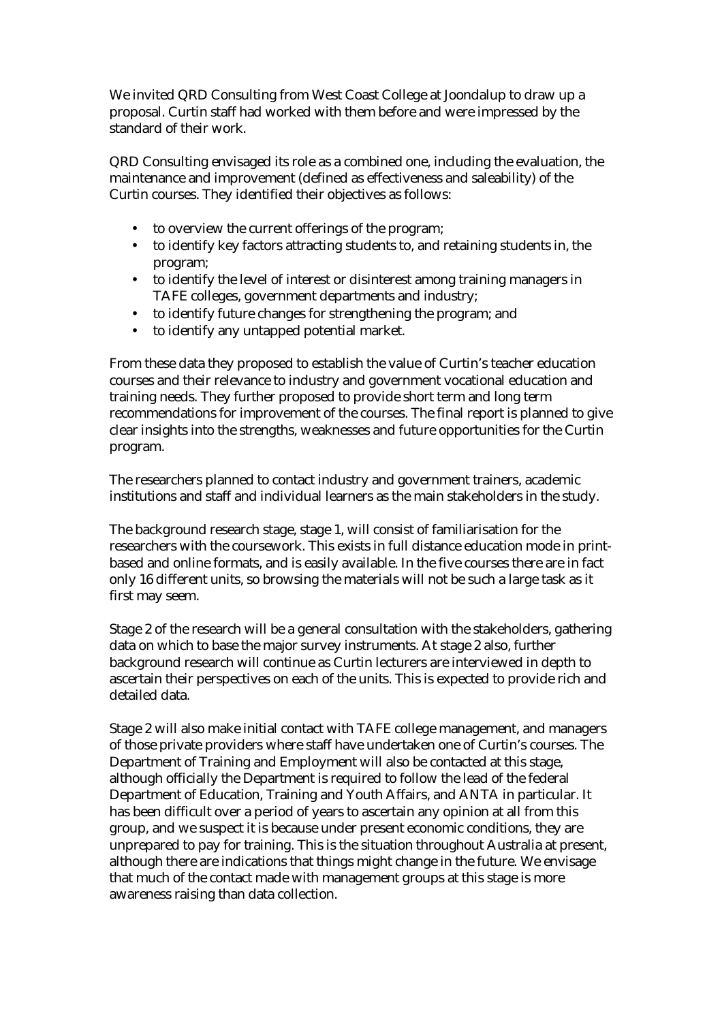We invited QRD Consulting from West Coast College at Joondalup to draw up a proposal. Curtin staff had worked with them before and were impressed by the standard of their work.

QRD Consulting envisaged its role as a combined one, including the evaluation, the maintenance and improvement (defined as effectiveness and saleability) of the Curtin courses. They identified their objectives as follows:

- to overview the current offerings of the program;
- to identify key factors attracting students to, and retaining students in, the program;
- to identify the level of interest or disinterest among training managers in TAFE colleges, government departments and industry;
- to identify future changes for strengthening the program; and
- to identify any untapped potential market.

From these data they proposed to establish the value of Curtin's teacher education courses and their relevance to industry and government vocational education and training needs. They further proposed to provide short term and long term recommendations for improvement of the courses. The final report is planned to give clear insights into the strengths, weaknesses and future opportunities for the Curtin program.

The researchers planned to contact industry and government trainers, academic institutions and staff and individual learners as the main stakeholders in the study.

The background research stage, stage 1, will consist of familiarisation for the researchers with the coursework. This exists in full distance education mode in printbased and online formats, and is easily available. In the five courses there are in fact only 16 different units, so browsing the materials will not be such a large task as it first may seem.

Stage 2 of the research will be a general consultation with the stakeholders, gathering data on which to base the major survey instruments. At stage 2 also, further background research will continue as Curtin lecturers are interviewed in depth to ascertain their perspectives on each of the units. This is expected to provide rich and detailed data.

Stage 2 will also make initial contact with TAFE college management, and managers of those private providers where staff have undertaken one of Curtin's courses. The Department of Training and Employment will also be contacted at this stage, although officially the Department is required to follow the lead of the federal Department of Education, Training and Youth Affairs, and ANTA in particular. It has been difficult over a period of years to ascertain any opinion at all from this group, and we suspect it is because under present economic conditions, they are unprepared to pay for training. This is the situation throughout Australia at present, although there are indications that things might change in the future. We envisage that much of the contact made with management groups at this stage is more awareness raising than data collection.